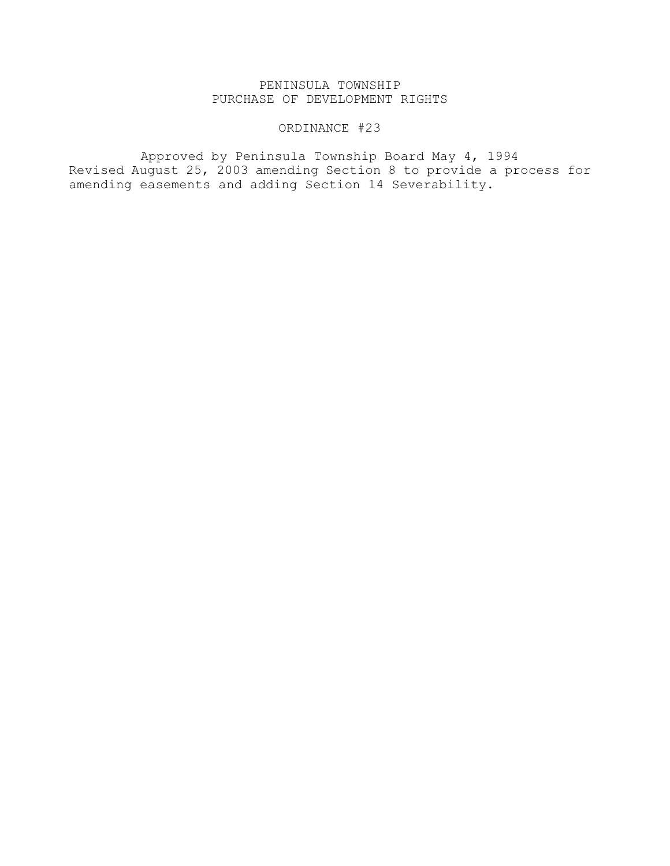# PENINSULA TOWNSHIP PURCHASE OF DEVELOPMENT RIGHTS

# ORDINANCE #23

Approved by Peninsula Township Board May 4, 1994 Revised August 25, 2003 amending Section 8 to provide a process for amending easements and adding Section 14 Severability.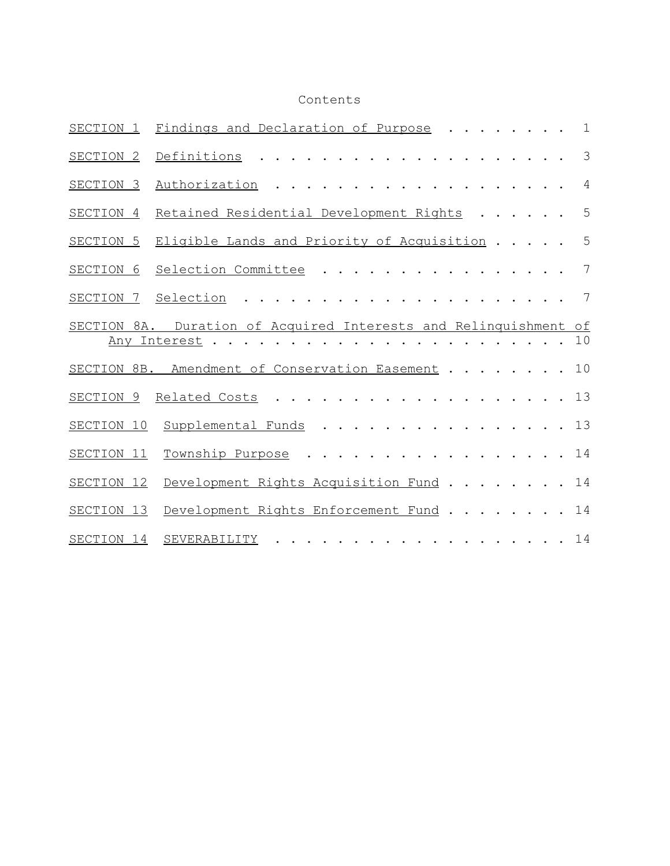# Contents

| SECTION 1   | Findings and Declaration of Purpose<br>.                                                                                                                                                                                                      | 1             |
|-------------|-----------------------------------------------------------------------------------------------------------------------------------------------------------------------------------------------------------------------------------------------|---------------|
| SECTION 2   | Definitions                                                                                                                                                                                                                                   | $\mathcal{S}$ |
| SECTION 3   | Authorization<br>$\mathbf{1}$ $\mathbf{1}$ $\mathbf{1}$<br>$\cdot$                                                                                                                                                                            | 4             |
| SECTION 4   | Retained Residential Development Rights                                                                                                                                                                                                       | 5             |
| SECTION 5   | Eligible Lands and Priority of Acquisition                                                                                                                                                                                                    | 5             |
| SECTION 6   | Selection Committee                                                                                                                                                                                                                           | 7             |
| SECTION 7   | Selection                                                                                                                                                                                                                                     | 7             |
| SECTION 8A. | Duration of Acquired Interests and Relinquishment                                                                                                                                                                                             | of            |
|             | Any Interest.                                                                                                                                                                                                                                 | 10            |
|             | SECTION 8B. Amendment of Conservation Easement                                                                                                                                                                                                | 10            |
| SECTION 9   | Related Costs                                                                                                                                                                                                                                 | 13            |
| SECTION 10  | Supplemental Funds                                                                                                                                                                                                                            | 13            |
| SECTION 11  | Township Purpose                                                                                                                                                                                                                              | 14            |
| SECTION 12  | Development Rights Acquisition Fund                                                                                                                                                                                                           | 14            |
| SECTION 13  | Development Rights Enforcement Fund                                                                                                                                                                                                           | 14            |
| SECTION 14  | SEVERABILITY<br>. The contract of the contract of the contract of the contract of the contract of the contract of the contract of the contract of the contract of the contract of the contract of the contract of the contract of the contrac | 14            |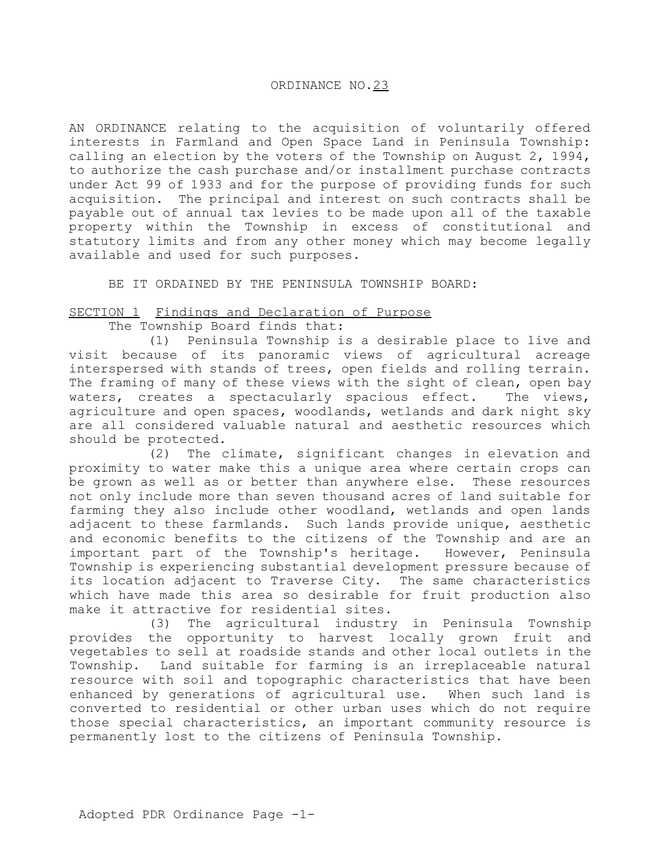### ORDINANCE NO.23

AN ORDINANCE relating to the acquisition of voluntarily offered interests in Farmland and Open Space Land in Peninsula Township: calling an election by the voters of the Township on August 2, 1994, to authorize the cash purchase and/or installment purchase contracts under Act 99 of 1933 and for the purpose of providing funds for such acquisition. The principal and interest on such contracts shall be payable out of annual tax levies to be made upon all of the taxable property within the Township in excess of constitutional and statutory limits and from any other money which may become legally available and used for such purposes.

BE IT ORDAINED BY THE PENINSULA TOWNSHIP BOARD:

# SECTION 1 Findings and Declaration of Purpose

The Township Board finds that:

(1) Peninsula Township is a desirable place to live and visit because of its panoramic views of agricultural acreage interspersed with stands of trees, open fields and rolling terrain. The framing of many of these views with the sight of clean, open bay<br>waters, creates a spectacularly spacious effect. The views, waters, creates a spectacularly spacious effect. agriculture and open spaces, woodlands, wetlands and dark night sky are all considered valuable natural and aesthetic resources which should be protected.

 (2) The climate, significant changes in elevation and proximity to water make this a unique area where certain crops can be grown as well as or better than anywhere else. These resources not only include more than seven thousand acres of land suitable for farming they also include other woodland, wetlands and open lands adjacent to these farmlands. Such lands provide unique, aesthetic and economic benefits to the citizens of the Township and are an important part of the Township's heritage. However, Peninsula Township is experiencing substantial development pressure because of its location adjacent to Traverse City. The same characteristics which have made this area so desirable for fruit production also make it attractive for residential sites.

(3) The agricultural industry in Peninsula Township provides the opportunity to harvest locally grown fruit and vegetables to sell at roadside stands and other local outlets in the Township. Land suitable for farming is an irreplaceable natural resource with soil and topographic characteristics that have been enhanced by generations of agricultural use. When such land is converted to residential or other urban uses which do not require those special characteristics, an important community resource is permanently lost to the citizens of Peninsula Township.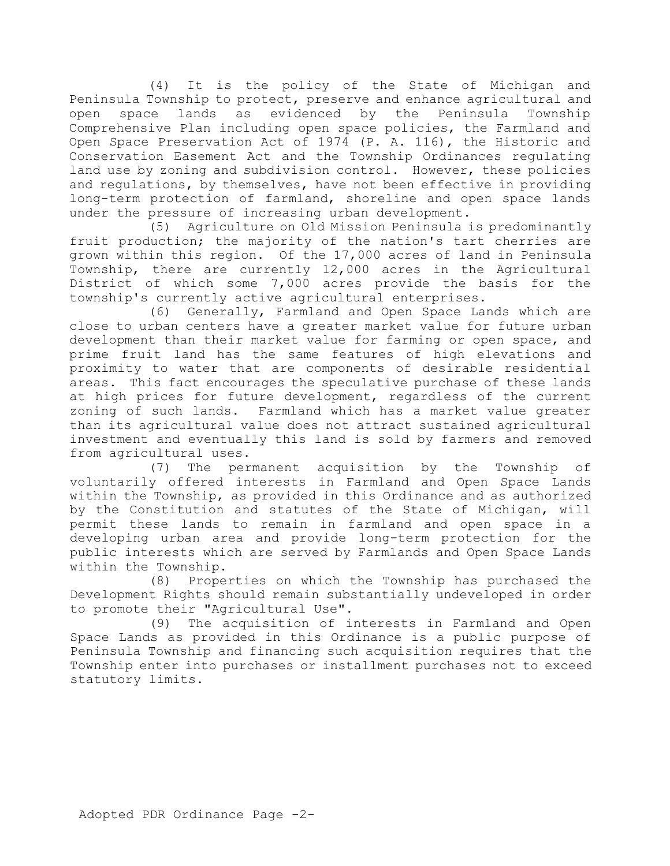(4) It is the policy of the State of Michigan and Peninsula Township to protect, preserve and enhance agricultural and open space lands as evidenced by the Peninsula Township Comprehensive Plan including open space policies, the Farmland and Open Space Preservation Act of 1974 (P. A. 116), the Historic and Conservation Easement Act and the Township Ordinances regulating land use by zoning and subdivision control. However, these policies and regulations, by themselves, have not been effective in providing long-term protection of farmland, shoreline and open space lands under the pressure of increasing urban development.

(5) Agriculture on Old Mission Peninsula is predominantly fruit production; the majority of the nation's tart cherries are grown within this region. Of the 17,000 acres of land in Peninsula Township, there are currently 12,000 acres in the Agricultural District of which some 7,000 acres provide the basis for the township's currently active agricultural enterprises.

(6) Generally, Farmland and Open Space Lands which are close to urban centers have a greater market value for future urban development than their market value for farming or open space, and prime fruit land has the same features of high elevations and proximity to water that are components of desirable residential areas. This fact encourages the speculative purchase of these lands at high prices for future development, regardless of the current zoning of such lands. Farmland which has a market value greater than its agricultural value does not attract sustained agricultural investment and eventually this land is sold by farmers and removed from agricultural uses.

(7) The permanent acquisition by the Township of voluntarily offered interests in Farmland and Open Space Lands within the Township, as provided in this Ordinance and as authorized by the Constitution and statutes of the State of Michigan, will permit these lands to remain in farmland and open space in a developing urban area and provide long-term protection for the public interests which are served by Farmlands and Open Space Lands within the Township.

(8) Properties on which the Township has purchased the Development Rights should remain substantially undeveloped in order to promote their "Agricultural Use".

(9) The acquisition of interests in Farmland and Open Space Lands as provided in this Ordinance is a public purpose of Peninsula Township and financing such acquisition requires that the Township enter into purchases or installment purchases not to exceed statutory limits.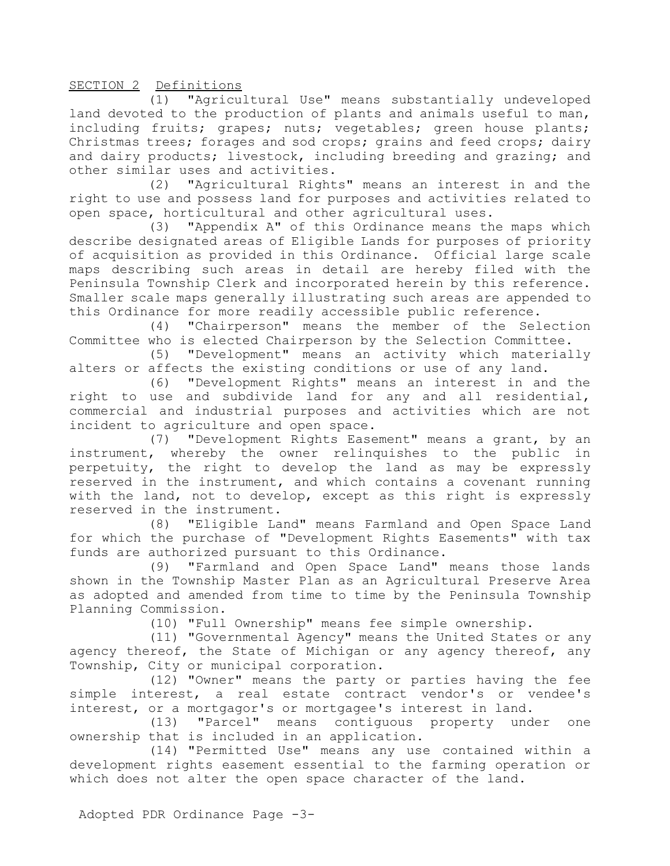SECTION 2 Definitions

(1) "Agricultural Use" means substantially undeveloped land devoted to the production of plants and animals useful to man, including fruits; grapes; nuts; vegetables; green house plants; Christmas trees; forages and sod crops; grains and feed crops; dairy and dairy products; livestock, including breeding and grazing; and other similar uses and activities.

(2) "Agricultural Rights" means an interest in and the right to use and possess land for purposes and activities related to open space, horticultural and other agricultural uses.

(3) "Appendix A" of this Ordinance means the maps which describe designated areas of Eligible Lands for purposes of priority of acquisition as provided in this Ordinance. Official large scale maps describing such areas in detail are hereby filed with the Peninsula Township Clerk and incorporated herein by this reference. Smaller scale maps generally illustrating such areas are appended to this Ordinance for more readily accessible public reference.

(4) "Chairperson" means the member of the Selection Committee who is elected Chairperson by the Selection Committee.

(5) "Development" means an activity which materially alters or affects the existing conditions or use of any land.

(6) "Development Rights" means an interest in and the right to use and subdivide land for any and all residential, commercial and industrial purposes and activities which are not incident to agriculture and open space.

(7) "Development Rights Easement" means a grant, by an instrument, whereby the owner relinquishes to the public in perpetuity, the right to develop the land as may be expressly reserved in the instrument, and which contains a covenant running with the land, not to develop, except as this right is expressly reserved in the instrument.

(8) "Eligible Land" means Farmland and Open Space Land for which the purchase of "Development Rights Easements" with tax funds are authorized pursuant to this Ordinance.

(9) "Farmland and Open Space Land" means those lands shown in the Township Master Plan as an Agricultural Preserve Area as adopted and amended from time to time by the Peninsula Township Planning Commission.

(10) "Full Ownership" means fee simple ownership.

(11) "Governmental Agency" means the United States or any agency thereof, the State of Michigan or any agency thereof, any Township, City or municipal corporation.

(12) "Owner" means the party or parties having the fee simple interest, a real estate contract vendor's or vendee's interest, or a mortgagor's or mortgagee's interest in land.

(13) "Parcel" means contiguous property under one ownership that is included in an application.

(14) "Permitted Use" means any use contained within a development rights easement essential to the farming operation or which does not alter the open space character of the land.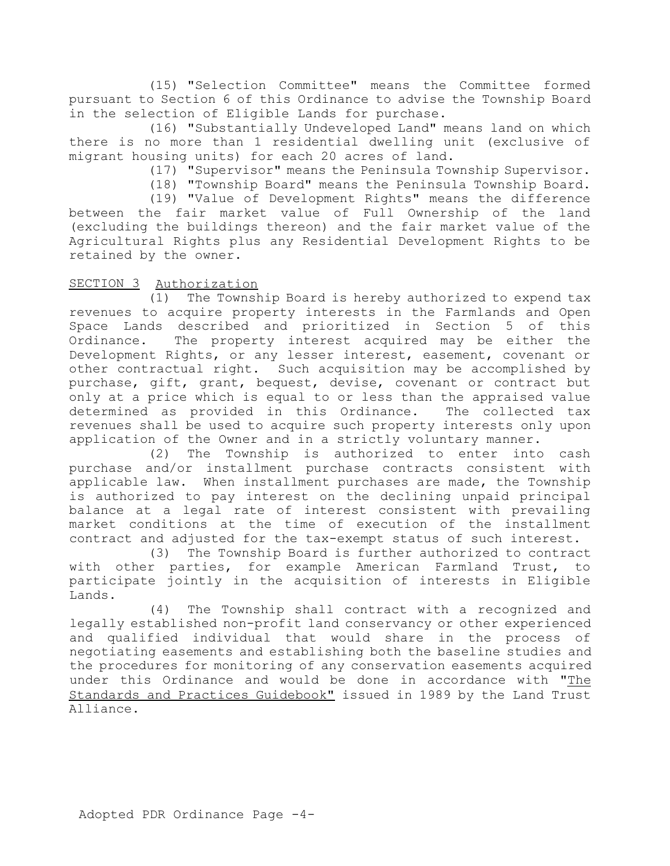(15) "Selection Committee" means the Committee formed pursuant to Section 6 of this Ordinance to advise the Township Board in the selection of Eligible Lands for purchase.

(16) "Substantially Undeveloped Land" means land on which there is no more than 1 residential dwelling unit (exclusive of migrant housing units) for each 20 acres of land.

(17) "Supervisor" means the Peninsula Township Supervisor.

(18) "Township Board" means the Peninsula Township Board.

(19) "Value of Development Rights" means the difference between the fair market value of Full Ownership of the land (excluding the buildings thereon) and the fair market value of the Agricultural Rights plus any Residential Development Rights to be retained by the owner.

### SECTION 3 Authorization

(1) The Township Board is hereby authorized to expend tax revenues to acquire property interests in the Farmlands and Open Space Lands described and prioritized in Section 5 of this Ordinance. The property interest acquired may be either the Development Rights, or any lesser interest, easement, covenant or other contractual right. Such acquisition may be accomplished by purchase, gift, grant, bequest, devise, covenant or contract but only at a price which is equal to or less than the appraised value determined as provided in this Ordinance. The collected tax revenues shall be used to acquire such property interests only upon application of the Owner and in a strictly voluntary manner.

(2) The Township is authorized to enter into cash purchase and/or installment purchase contracts consistent with applicable law. When installment purchases are made, the Township is authorized to pay interest on the declining unpaid principal balance at a legal rate of interest consistent with prevailing market conditions at the time of execution of the installment contract and adjusted for the tax-exempt status of such interest.

(3) The Township Board is further authorized to contract with other parties, for example American Farmland Trust, to participate jointly in the acquisition of interests in Eligible Lands.

(4) The Township shall contract with a recognized and legally established non-profit land conservancy or other experienced and qualified individual that would share in the process of negotiating easements and establishing both the baseline studies and the procedures for monitoring of any conservation easements acquired under this Ordinance and would be done in accordance with "The Standards and Practices Guidebook" issued in 1989 by the Land Trust Alliance.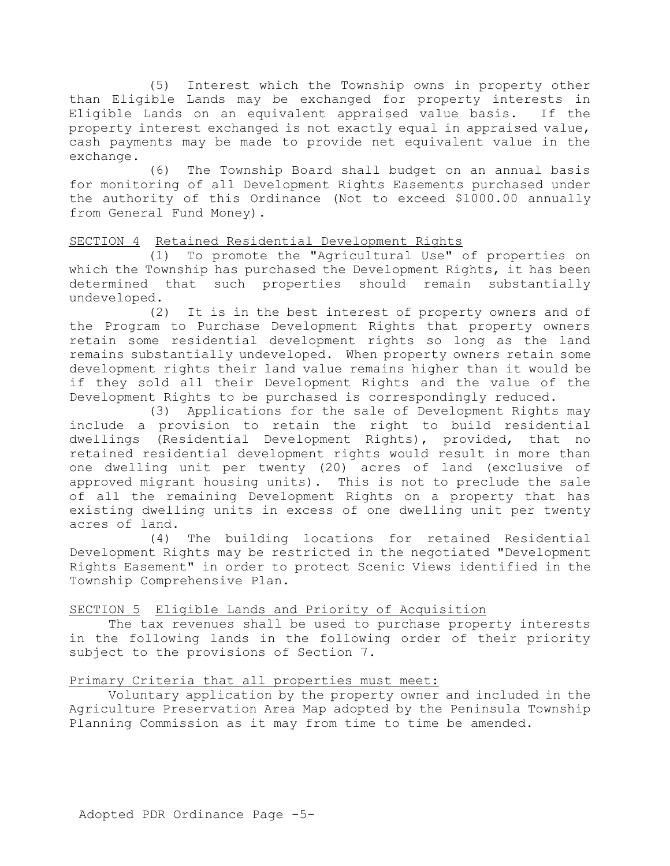(5) Interest which the Township owns in property other than Eligible Lands may be exchanged for property interests in Eligible Lands on an equivalent appraised value basis. If the property interest exchanged is not exactly equal in appraised value, cash payments may be made to provide net equivalent value in the exchange.

(6) The Township Board shall budget on an annual basis for monitoring of all Development Rights Easements purchased under the authority of this Ordinance (Not to exceed \$1000.00 annually from General Fund Money).

### SECTION 4 Retained Residential Development Rights

(1) To promote the "Agricultural Use" of properties on which the Township has purchased the Development Rights, it has been determined that such properties should remain substantially undeveloped.

(2) It is in the best interest of property owners and of the Program to Purchase Development Rights that property owners retain some residential development rights so long as the land remains substantially undeveloped. When property owners retain some development rights their land value remains higher than it would be if they sold all their Development Rights and the value of the Development Rights to be purchased is correspondingly reduced.

(3) Applications for the sale of Development Rights may include a provision to retain the right to build residential dwellings (Residential Development Rights), provided, that no retained residential development rights would result in more than one dwelling unit per twenty (20) acres of land (exclusive of approved migrant housing units). This is not to preclude the sale of all the remaining Development Rights on a property that has existing dwelling units in excess of one dwelling unit per twenty acres of land.

(4) The building locations for retained Residential Development Rights may be restricted in the negotiated "Development Rights Easement" in order to protect Scenic Views identified in the Township Comprehensive Plan.

### SECTION 5 Eligible Lands and Priority of Acquisition

The tax revenues shall be used to purchase property interests in the following lands in the following order of their priority subject to the provisions of Section 7.

# Primary Criteria that all properties must meet:

Voluntary application by the property owner and included in the Agriculture Preservation Area Map adopted by the Peninsula Township Planning Commission as it may from time to time be amended.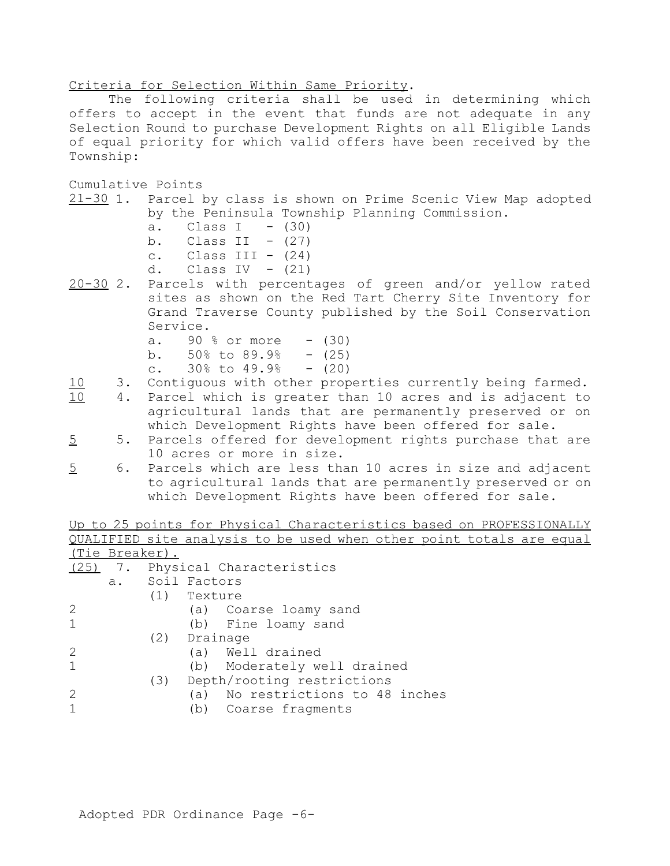Criteria for Selection Within Same Priority.

The following criteria shall be used in determining which offers to accept in the event that funds are not adequate in any Selection Round to purchase Development Rights on all Eligible Lands of equal priority for which valid offers have been received by the Township:

Cumulative Points

- 21-30 1. Parcel by class is shown on Prime Scenic View Map adopted by the Peninsula Township Planning Commission.
	- a. Class I  $-$  (30)
	- b. Class II  $-$  (27)
	- c. Class III  $-$  (24)
	- d. Class IV  $(21)$
- 20-30 2. Parcels with percentages of green and/or yellow rated sites as shown on the Red Tart Cherry Site Inventory for Grand Traverse County published by the Soil Conservation Service.
	- a.  $90 \text{ %} or more$   $(30)$
	- b.  $50\%$  to  $89.9\%$   $(25)$
	- c.  $30\%$  to  $49.9\%$   $(20)$
- 10 3. Contiguous with other properties currently being farmed.
- 10 4. Parcel which is greater than 10 acres and is adjacent to agricultural lands that are permanently preserved or on which Development Rights have been offered for sale.
- 5 5. Parcels offered for development rights purchase that are 10 acres or more in size.
- 5 6. Parcels which are less than 10 acres in size and adjacent to agricultural lands that are permanently preserved or on which Development Rights have been offered for sale.

Up to 25 points for Physical Characteristics based on PROFESSIONALLY or the control control control to the control of the control of the control of the control of the control of the control of the control of the control of the control of the control of the control of the control of the cont

|              |                |                |              |  |                  |                             |  |                                  |  | QUALIFILD SITE analysis to be used when other point totals are equ |  |  |
|--------------|----------------|----------------|--------------|--|------------------|-----------------------------|--|----------------------------------|--|--------------------------------------------------------------------|--|--|
|              | (Tie Breaker). |                |              |  |                  |                             |  |                                  |  |                                                                    |  |  |
| (25)         | 7.             |                |              |  |                  | Physical Characteristics    |  |                                  |  |                                                                    |  |  |
|              | a.             |                | Soil Factors |  |                  |                             |  |                                  |  |                                                                    |  |  |
|              |                | (1)<br>Texture |              |  |                  |                             |  |                                  |  |                                                                    |  |  |
|              |                |                |              |  |                  | (a) Coarse loamy sand       |  |                                  |  |                                                                    |  |  |
| $\mathbf{1}$ |                |                |              |  |                  | (b) Fine loamy sand         |  |                                  |  |                                                                    |  |  |
|              |                |                | (2) Drainage |  |                  |                             |  |                                  |  |                                                                    |  |  |
| 2            |                |                |              |  | (a) Well drained |                             |  |                                  |  |                                                                    |  |  |
| $\mathbf 1$  |                |                |              |  |                  | (b) Moderately well drained |  |                                  |  |                                                                    |  |  |
|              |                | (3)            |              |  |                  | Depth/rooting restrictions  |  |                                  |  |                                                                    |  |  |
|              |                |                |              |  |                  |                             |  | (a) No restrictions to 48 inches |  |                                                                    |  |  |
|              |                |                | (d)          |  |                  | Coarse fragments            |  |                                  |  |                                                                    |  |  |
|              |                |                |              |  |                  |                             |  |                                  |  |                                                                    |  |  |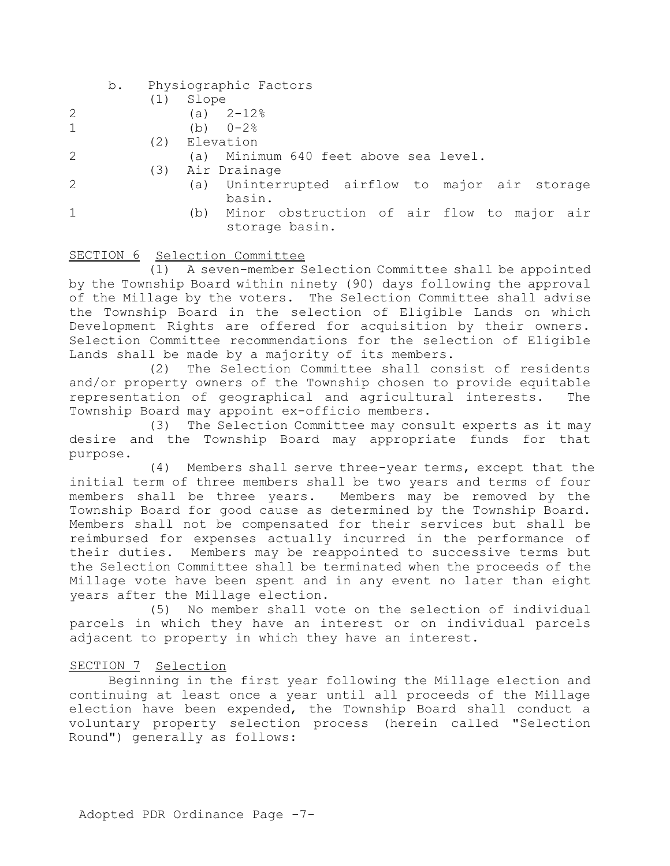- b. Physiographic Factors
	- (1) Slope
- 2 (a) 2-12%
- 1 (b) 0-2%
- (2) Elevation
- 2 (a) Minimum 640 feet above sea level.
	- (3) Air Drainage
- 
- 2 (a) Uninterrupted airflow to major air storage basin.
- 1 (b) Minor obstruction of air flow to major air storage basin.

# SECTION 6 Selection Committee

(1) A seven-member Selection Committee shall be appointed by the Township Board within ninety (90) days following the approval of the Millage by the voters. The Selection Committee shall advise the Township Board in the selection of Eligible Lands on which Development Rights are offered for acquisition by their owners. Selection Committee recommendations for the selection of Eligible Lands shall be made by a majority of its members.

(2) The Selection Committee shall consist of residents and/or property owners of the Township chosen to provide equitable representation of geographical and agricultural interests. The Township Board may appoint ex-officio members.

(3) The Selection Committee may consult experts as it may desire and the Township Board may appropriate funds for that purpose.

 (4) Members shall serve three-year terms, except that the initial term of three members shall be two years and terms of four members shall be three years. Members may be removed by the Township Board for good cause as determined by the Township Board. Members shall not be compensated for their services but shall be reimbursed for expenses actually incurred in the performance of their duties. Members may be reappointed to successive terms but the Selection Committee shall be terminated when the proceeds of the Millage vote have been spent and in any event no later than eight years after the Millage election.

(5) No member shall vote on the selection of individual parcels in which they have an interest or on individual parcels adjacent to property in which they have an interest.

# SECTION 7 Selection

Beginning in the first year following the Millage election and continuing at least once a year until all proceeds of the Millage election have been expended, the Township Board shall conduct a voluntary property selection process (herein called "Selection Round") generally as follows: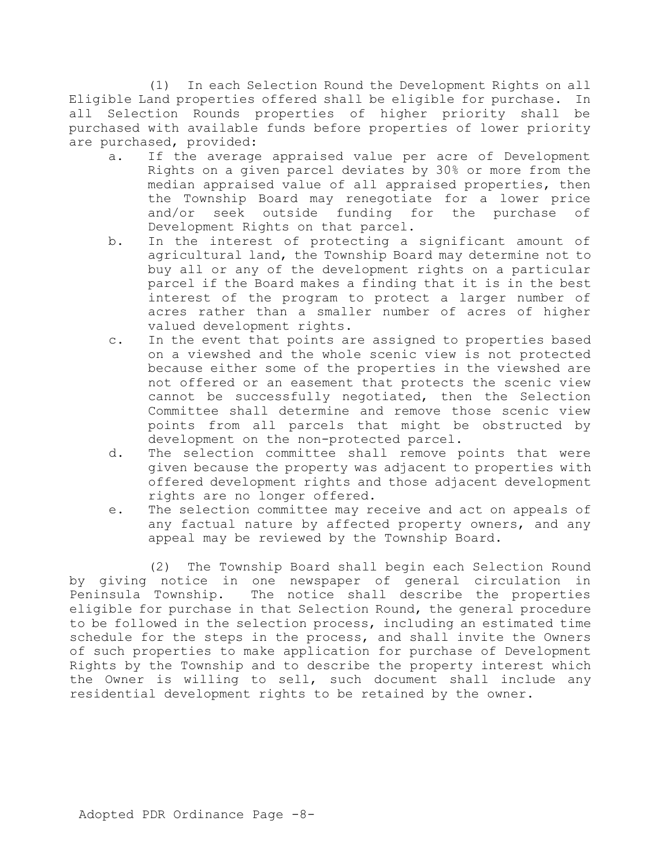(1) In each Selection Round the Development Rights on all Eligible Land properties offered shall be eligible for purchase. In all Selection Rounds properties of higher priority shall be purchased with available funds before properties of lower priority are purchased, provided:

- a. If the average appraised value per acre of Development Rights on a given parcel deviates by 30% or more from the median appraised value of all appraised properties, then the Township Board may renegotiate for a lower price and/or seek outside funding for the purchase of Development Rights on that parcel.
- b. In the interest of protecting a significant amount of agricultural land, the Township Board may determine not to buy all or any of the development rights on a particular parcel if the Board makes a finding that it is in the best interest of the program to protect a larger number of acres rather than a smaller number of acres of higher valued development rights.
- c. In the event that points are assigned to properties based on a viewshed and the whole scenic view is not protected because either some of the properties in the viewshed are not offered or an easement that protects the scenic view cannot be successfully negotiated, then the Selection Committee shall determine and remove those scenic view points from all parcels that might be obstructed by development on the non-protected parcel.
- d. The selection committee shall remove points that were given because the property was adjacent to properties with offered development rights and those adjacent development rights are no longer offered.
- e. The selection committee may receive and act on appeals of any factual nature by affected property owners, and any appeal may be reviewed by the Township Board.

(2) The Township Board shall begin each Selection Round by giving notice in one newspaper of general circulation in<br>Peninsula Township. The notice shall describe the properties The notice shall describe the properties eligible for purchase in that Selection Round, the general procedure to be followed in the selection process, including an estimated time schedule for the steps in the process, and shall invite the Owners of such properties to make application for purchase of Development Rights by the Township and to describe the property interest which the Owner is willing to sell, such document shall include any residential development rights to be retained by the owner.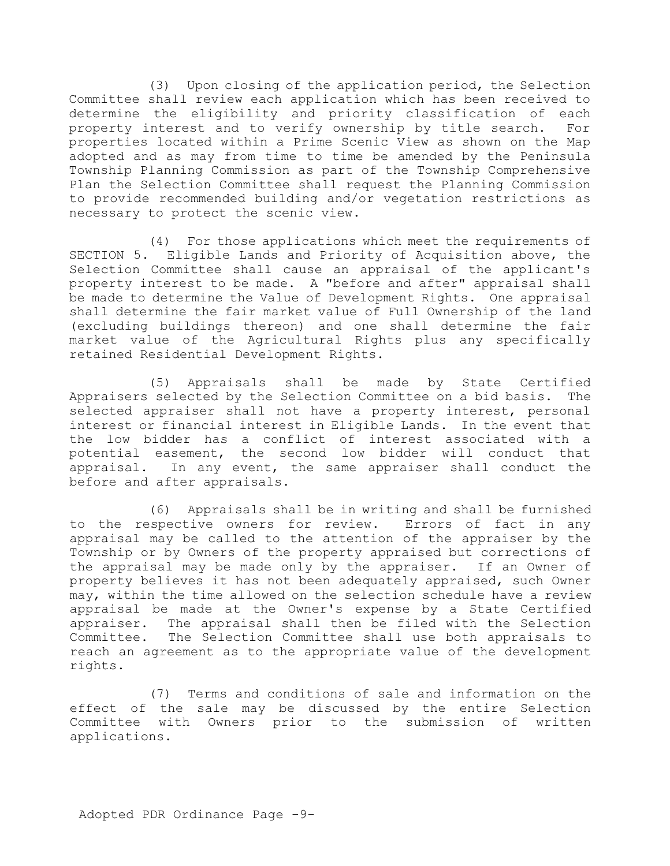(3) Upon closing of the application period, the Selection Committee shall review each application which has been received to determine the eligibility and priority classification of each property interest and to verify ownership by title search. For properties located within a Prime Scenic View as shown on the Map adopted and as may from time to time be amended by the Peninsula Township Planning Commission as part of the Township Comprehensive Plan the Selection Committee shall request the Planning Commission to provide recommended building and/or vegetation restrictions as necessary to protect the scenic view.

(4) For those applications which meet the requirements of SECTION 5. Eligible Lands and Priority of Acquisition above, the Selection Committee shall cause an appraisal of the applicant's property interest to be made. A "before and after" appraisal shall be made to determine the Value of Development Rights. One appraisal shall determine the fair market value of Full Ownership of the land (excluding buildings thereon) and one shall determine the fair market value of the Agricultural Rights plus any specifically retained Residential Development Rights.

(5) Appraisals shall be made by State Certified Appraisers selected by the Selection Committee on a bid basis. The selected appraiser shall not have a property interest, personal interest or financial interest in Eligible Lands. In the event that the low bidder has a conflict of interest associated with a potential easement, the second low bidder will conduct that appraisal. In any event, the same appraiser shall conduct the before and after appraisals.

(6) Appraisals shall be in writing and shall be furnished to the respective owners for review. Errors of fact in any appraisal may be called to the attention of the appraiser by the Township or by Owners of the property appraised but corrections of the appraisal may be made only by the appraiser. If an Owner of property believes it has not been adequately appraised, such Owner may, within the time allowed on the selection schedule have a review appraisal be made at the Owner's expense by a State Certified appraiser. The appraisal shall then be filed with the Selection Committee. The Selection Committee shall use both appraisals to reach an agreement as to the appropriate value of the development rights.

(7) Terms and conditions of sale and information on the effect of the sale may be discussed by the entire Selection Committee with Owners prior to the submission of written applications.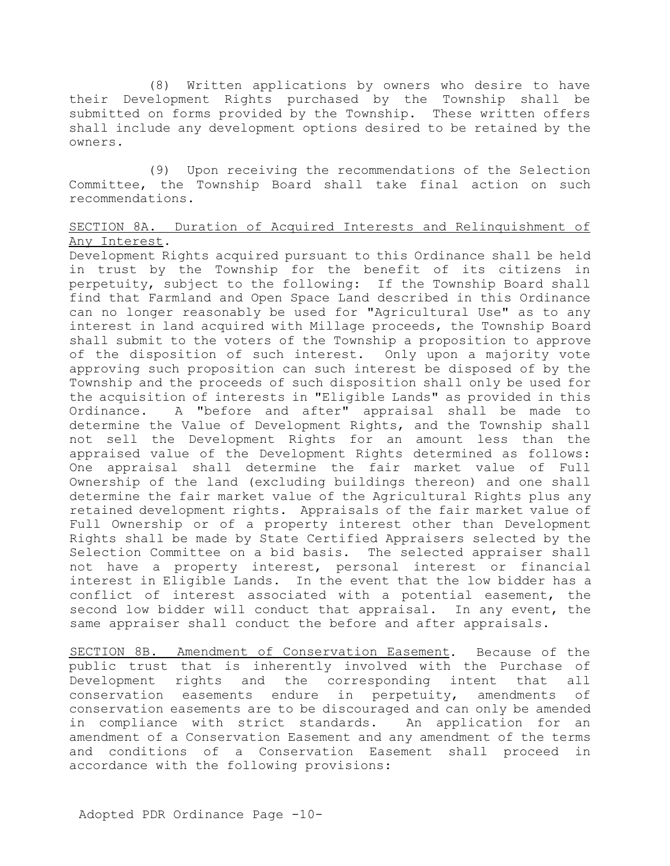(8) Written applications by owners who desire to have their Development Rights purchased by the Township shall be submitted on forms provided by the Township. These written offers shall include any development options desired to be retained by the owners.

(9) Upon receiving the recommendations of the Selection Committee, the Township Board shall take final action on such recommendations.

# SECTION 8A. Duration of Acquired Interests and Relinquishment of Any Interest.

Development Rights acquired pursuant to this Ordinance shall be held in trust by the Township for the benefit of its citizens in perpetuity, subject to the following: If the Township Board shall find that Farmland and Open Space Land described in this Ordinance can no longer reasonably be used for "Agricultural Use" as to any interest in land acquired with Millage proceeds, the Township Board shall submit to the voters of the Township a proposition to approve of the disposition of such interest. Only upon a majority vote approving such proposition can such interest be disposed of by the Township and the proceeds of such disposition shall only be used for the acquisition of interests in "Eligible Lands" as provided in this Ordinance. A "before and after" appraisal shall be made to determine the Value of Development Rights, and the Township shall not sell the Development Rights for an amount less than the appraised value of the Development Rights determined as follows: One appraisal shall determine the fair market value of Full Ownership of the land (excluding buildings thereon) and one shall determine the fair market value of the Agricultural Rights plus any retained development rights. Appraisals of the fair market value of Full Ownership or of a property interest other than Development Rights shall be made by State Certified Appraisers selected by the Selection Committee on a bid basis. The selected appraiser shall not have a property interest, personal interest or financial interest in Eligible Lands. In the event that the low bidder has a conflict of interest associated with a potential easement, the second low bidder will conduct that appraisal. In any event, the same appraiser shall conduct the before and after appraisals.

SECTION 8B. Amendment of Conservation Easement. Because of the public trust that is inherently involved with the Purchase of Development rights and the corresponding intent that all conservation easements endure in perpetuity, amendments of conservation easements are to be discouraged and can only be amended in compliance with strict standards. An application for an amendment of a Conservation Easement and any amendment of the terms and conditions of a Conservation Easement shall proceed in accordance with the following provisions: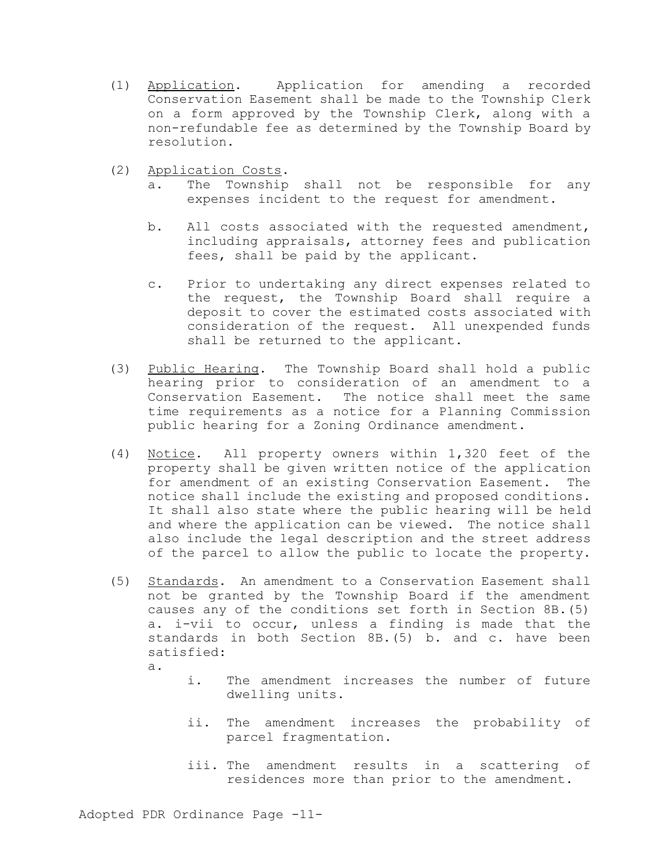- (1) Application. Application for amending a recorded Conservation Easement shall be made to the Township Clerk on a form approved by the Township Clerk, along with a non-refundable fee as determined by the Township Board by resolution.
- (2) Application Costs.
	- a. The Township shall not be responsible for any expenses incident to the request for amendment.
	- b. All costs associated with the requested amendment, including appraisals, attorney fees and publication fees, shall be paid by the applicant.
	- c. Prior to undertaking any direct expenses related to the request, the Township Board shall require a deposit to cover the estimated costs associated with consideration of the request. All unexpended funds shall be returned to the applicant.
- (3) Public Hearing. The Township Board shall hold a public hearing prior to consideration of an amendment to a Conservation Easement. The notice shall meet the same time requirements as a notice for a Planning Commission public hearing for a Zoning Ordinance amendment.
- (4) Notice. All property owners within 1,320 feet of the property shall be given written notice of the application for amendment of an existing Conservation Easement. The notice shall include the existing and proposed conditions. It shall also state where the public hearing will be held and where the application can be viewed. The notice shall also include the legal description and the street address of the parcel to allow the public to locate the property.
- (5) Standards. An amendment to a Conservation Easement shall not be granted by the Township Board if the amendment causes any of the conditions set forth in Section 8B.(5) a. i-vii to occur, unless a finding is made that the standards in both Section 8B.(5) b. and c. have been satisfied:

a.

- i. The amendment increases the number of future dwelling units.
- ii. The amendment increases the probability of parcel fragmentation.
- iii. The amendment results in a scattering of residences more than prior to the amendment.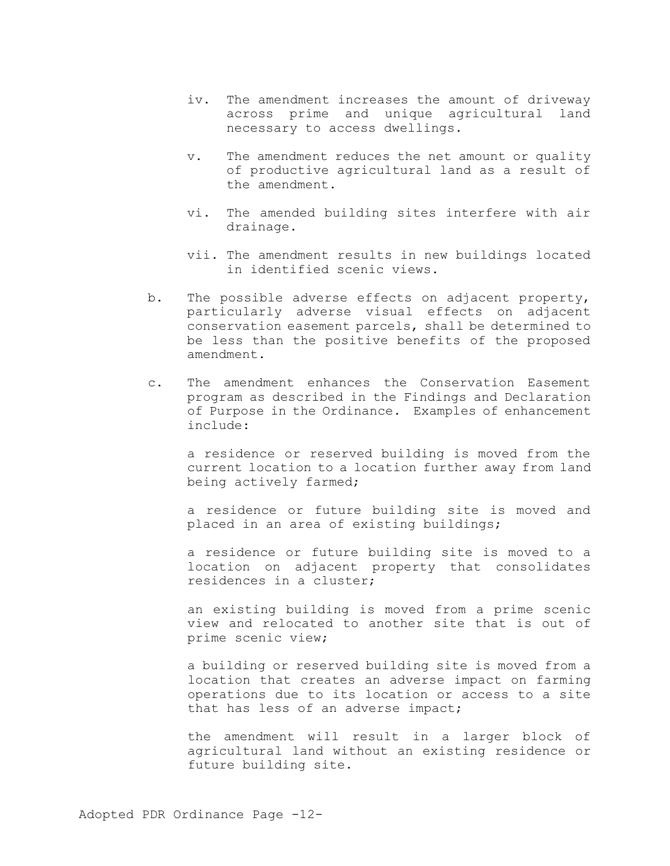- iv. The amendment increases the amount of driveway across prime and unique agricultural land necessary to access dwellings.
- v. The amendment reduces the net amount or quality of productive agricultural land as a result of the amendment.
- vi. The amended building sites interfere with air drainage.
- vii. The amendment results in new buildings located in identified scenic views.
- b. The possible adverse effects on adjacent property, particularly adverse visual effects on adjacent conservation easement parcels, shall be determined to be less than the positive benefits of the proposed amendment.
- c. The amendment enhances the Conservation Easement program as described in the Findings and Declaration of Purpose in the Ordinance. Examples of enhancement include:

a residence or reserved building is moved from the current location to a location further away from land being actively farmed;

a residence or future building site is moved and placed in an area of existing buildings;

a residence or future building site is moved to a location on adjacent property that consolidates residences in a cluster;

an existing building is moved from a prime scenic view and relocated to another site that is out of prime scenic view;

a building or reserved building site is moved from a location that creates an adverse impact on farming operations due to its location or access to a site that has less of an adverse impact;

the amendment will result in a larger block of agricultural land without an existing residence or future building site.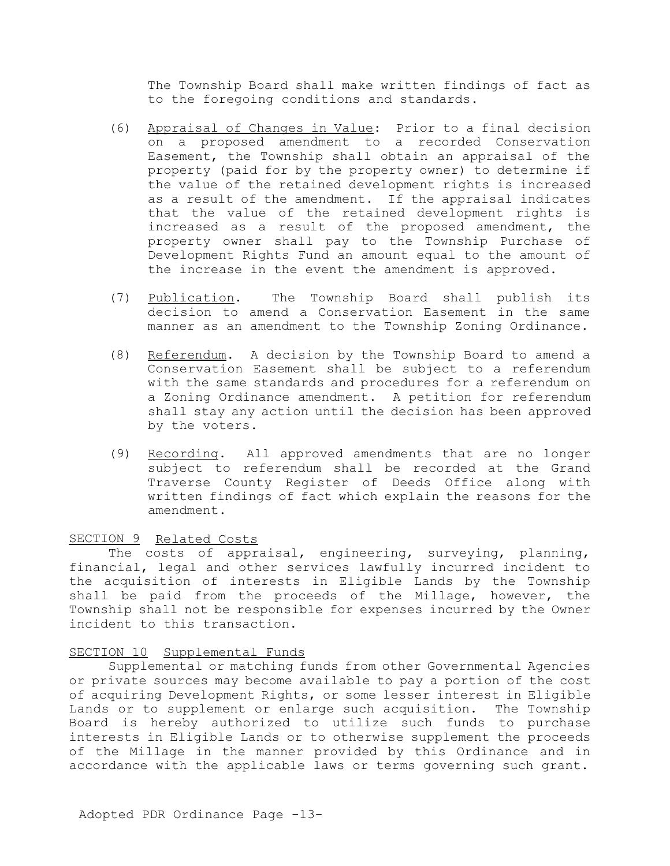The Township Board shall make written findings of fact as to the foregoing conditions and standards.

- (6) Appraisal of Changes in Value: Prior to a final decision on a proposed amendment to a recorded Conservation Easement, the Township shall obtain an appraisal of the property (paid for by the property owner) to determine if the value of the retained development rights is increased as a result of the amendment. If the appraisal indicates that the value of the retained development rights is increased as a result of the proposed amendment, the property owner shall pay to the Township Purchase of Development Rights Fund an amount equal to the amount of the increase in the event the amendment is approved.
- (7) Publication. The Township Board shall publish its decision to amend a Conservation Easement in the same manner as an amendment to the Township Zoning Ordinance.
- (8) Referendum. A decision by the Township Board to amend a Conservation Easement shall be subject to a referendum with the same standards and procedures for a referendum on a Zoning Ordinance amendment. A petition for referendum shall stay any action until the decision has been approved by the voters.
- (9) Recording. All approved amendments that are no longer subject to referendum shall be recorded at the Grand Traverse County Register of Deeds Office along with written findings of fact which explain the reasons for the amendment.

### SECTION 9 Related Costs

The costs of appraisal, engineering, surveying, planning, financial, legal and other services lawfully incurred incident to the acquisition of interests in Eligible Lands by the Township shall be paid from the proceeds of the Millage, however, the Township shall not be responsible for expenses incurred by the Owner incident to this transaction.

### SECTION 10 Supplemental Funds

Supplemental or matching funds from other Governmental Agencies or private sources may become available to pay a portion of the cost of acquiring Development Rights, or some lesser interest in Eligible Lands or to supplement or enlarge such acquisition. The Township Board is hereby authorized to utilize such funds to purchase interests in Eligible Lands or to otherwise supplement the proceeds of the Millage in the manner provided by this Ordinance and in accordance with the applicable laws or terms governing such grant.